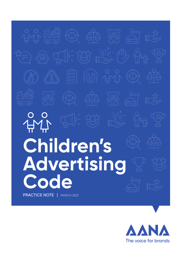# **Children's Advertising Code** PRACTICE NOTE | MARCH 2021

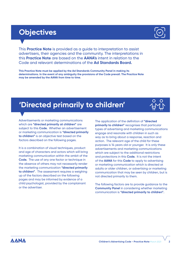# **Objectives**

This **Practice Note** is provided as a guide to interpretation to assist advertisers, their agencies and the community. The interpretations in this **Practice Note** are based on the **AANA's** intent in relation to the Code and relevant determinations of the **Ad Standards Board.** 

**This Practice Note must be applied by the Ad Standards Community Panel in making its determinations. In the event of any ambiguity the provisions of the Code prevail. The Practice Note may be amended by the AANA from time to time.**

# **'Directed primarily to children'**

Advertisements or marketing communications which are **"directed primarily at children"** are subject to this **Code.** Whether an advertisement or marketing communication is **"directed primarily to children"** is an objective test based on the factors described on the following pages.

It is a combination of visual techniques, product and age of characters and actors which will bring marketing communication within the ambit of the **Code.** The use of any one factor or technique in the absence of others may not necessarily render the marketing communication **"directed primarily to children"**. The assessment requires a weighing up of the factors described on the following pages and may be informed by evidence of a child psychologist, provided by the complainant or the advertiser.

The application of the definition of **"directed primarily to children"** recognises that particular types of advertising and marketing communications engage and resonate with children in such as way as to bring about a response, reaction and action. The relevant age of the child for these purposes is 14 years old or younger. It is only these advertisements and marketing communications which are subject to the additional restrictions and protections in this **Code.** It is not the intent of the **AANA** for this **Code** to apply to advertising or marketing communication which is directed at adults or older children, or advertising or marketing communication that may be seen by children, but is not directed primarily to them.

The following factors are to provide guidance to the **Community Panel** in considering whether marketing communication is **"directed primarily to children".**

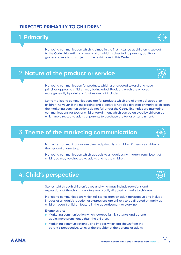#### **'DIRECTED PRIMARILY TO CHILDREN'**

## 1. **Primarily**

Marketing communication which is aimed in the first instance at children is subject to the **Code.** Marketing communication which is directed to parents, adults or grocery buyers is not subject to the restrictions in this **Code.**

#### 2. **Nature of the product or service**

Marketing communication for products which are targeted toward and have principal appeal to children may be included. Products which are enjoyed more generally by adults or families are not included.

Some marketing communications are for products which are of principal appeal to children, however, if the messaging and creative is not also directed primarily to children, the marketing communications do not fall under the **Code.** Examples are marketing communications for toys or child entertainment which can be enjoyed by children but which are directed to adults or parents to purchase the toy or entertainment.

#### 3. **Theme of the marketing communication**

Marketing communications are directed primarily to children if they use children's themes and characters.

Marketing communication which appeals to an adult using imagery reminiscent of childhood may be directed to adults and not to children.

## 4. **Child's perspective**

Stories told through children's eyes and which may include reactions and expressions of the child characters are usually directed primarily to children.

Marketing communications which tell stories from an adult perspective and include images of an adult's reaction or expressions are unlikely to be directed primarily at children, even if children feature in the advertisement or storyline.

Examples are:

- Marketing communication which features family settings and parents adults more prominently than the children.
- $\blacktriangleright$  Marketing communications using images which are shown from the parent's perspective, i.e. over the shoulder of the parents or adults.

**AANA** 







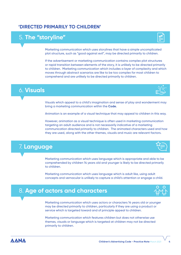#### **'DIRECTED PRIMARILY TO CHILDREN'**

## 5. **The "storyline"**

Marketing communication which uses storylines that have a simple uncomplicated plot structure, such as "good against evil", may be directed primarily to children.

If the advertisement or marketing communication contains complex plot structures or rapid transition between elements of the story, it is unlikely to be directed primarily to children. Marketing communication which includes a layer of complexity and which moves through abstract scenarios are like to be too complex for most children to comprehend and are unlikely to be directed primarily to children.

#### 6. **Visuals**

Visuals which appeal to a child's imagination and sense of play and wonderment may bring a marketing communication within the **Code.**

Animation is an example of a visual technique that may appeal to children in this way.

However, animation as a visual technique is often used in marketing communication targeting an adult audience and is not necessarily indicative of a marketing communication directed primarily to children. The animated characters used and how they are used, along with the other themes, visuals and music are relevant factors.

### 7. **Language**

Marketing communication which uses language which is appropriate and able to be comprehended by children 14 years old and younger is likely to be directed primarily to children.

Marketing communication which uses language which is adult like, using adult concepts and vernacular is unlikely to capture a child's attention or engage a child.

#### 8. **Age of actors and characters**

Marketing communication which uses actors or characters 14 years old or younger may be directed primarily to children, particularly if they are using a product or service which is targeted toward and of principle appeal to children.

Marketing communication which features children but does not otherwise use themes, visuals or language which is targeted at children may not be directed primarily to children.